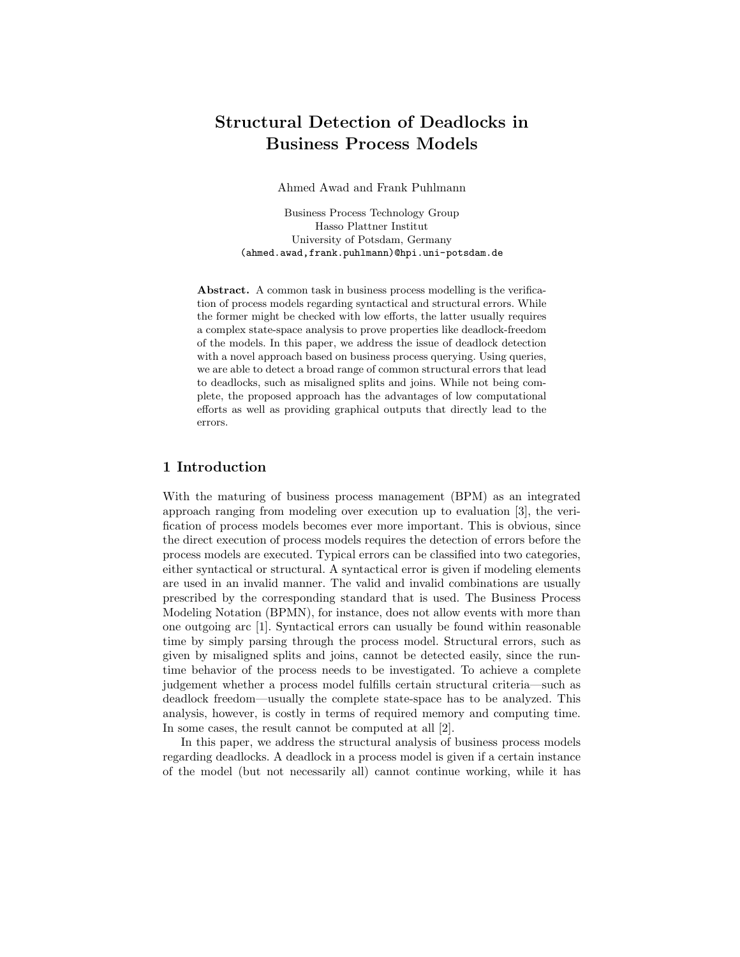# Structural Detection of Deadlocks in Business Process Models

Ahmed Awad and Frank Puhlmann

Business Process Technology Group Hasso Plattner Institut University of Potsdam, Germany (ahmed.awad,frank.puhlmann)@hpi.uni-potsdam.de

Abstract. A common task in business process modelling is the verification of process models regarding syntactical and structural errors. While the former might be checked with low efforts, the latter usually requires a complex state-space analysis to prove properties like deadlock-freedom of the models. In this paper, we address the issue of deadlock detection with a novel approach based on business process querying. Using queries, we are able to detect a broad range of common structural errors that lead to deadlocks, such as misaligned splits and joins. While not being complete, the proposed approach has the advantages of low computational efforts as well as providing graphical outputs that directly lead to the errors.

# 1 Introduction

With the maturing of business process management (BPM) as an integrated approach ranging from modeling over execution up to evaluation [3], the verification of process models becomes ever more important. This is obvious, since the direct execution of process models requires the detection of errors before the process models are executed. Typical errors can be classified into two categories, either syntactical or structural. A syntactical error is given if modeling elements are used in an invalid manner. The valid and invalid combinations are usually prescribed by the corresponding standard that is used. The Business Process Modeling Notation (BPMN), for instance, does not allow events with more than one outgoing arc [1]. Syntactical errors can usually be found within reasonable time by simply parsing through the process model. Structural errors, such as given by misaligned splits and joins, cannot be detected easily, since the runtime behavior of the process needs to be investigated. To achieve a complete judgement whether a process model fulfills certain structural criteria—such as deadlock freedom—usually the complete state-space has to be analyzed. This analysis, however, is costly in terms of required memory and computing time. In some cases, the result cannot be computed at all [2].

In this paper, we address the structural analysis of business process models regarding deadlocks. A deadlock in a process model is given if a certain instance of the model (but not necessarily all) cannot continue working, while it has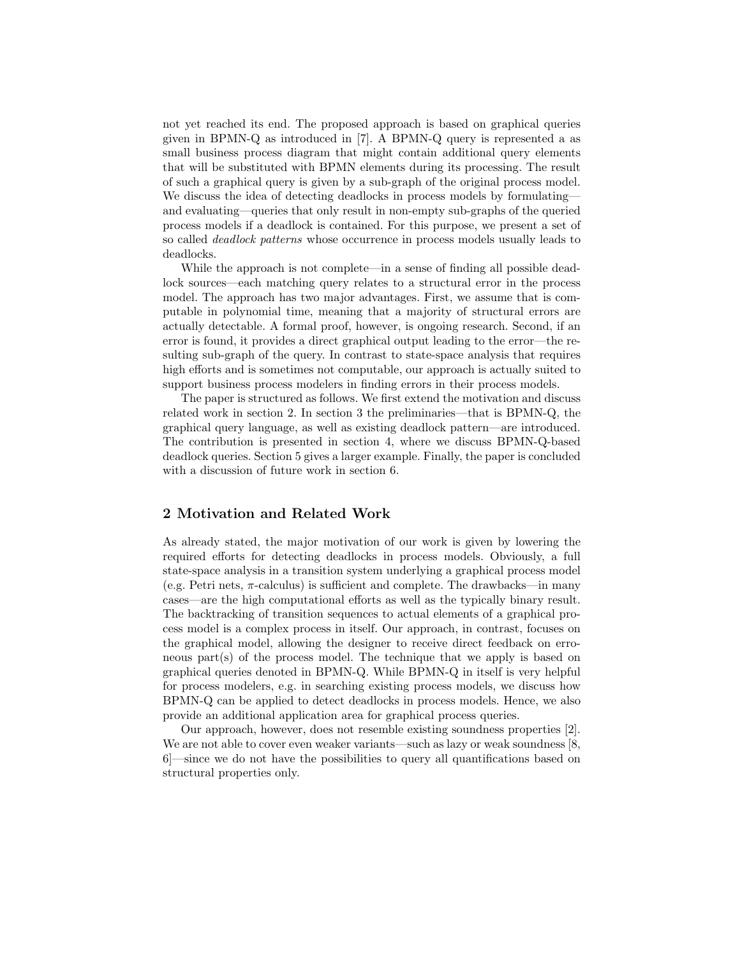not yet reached its end. The proposed approach is based on graphical queries given in BPMN-Q as introduced in [7]. A BPMN-Q query is represented a as small business process diagram that might contain additional query elements that will be substituted with BPMN elements during its processing. The result of such a graphical query is given by a sub-graph of the original process model. We discuss the idea of detecting deadlocks in process models by formulating and evaluating—queries that only result in non-empty sub-graphs of the queried process models if a deadlock is contained. For this purpose, we present a set of so called *deadlock patterns* whose occurrence in process models usually leads to deadlocks.

While the approach is not complete—in a sense of finding all possible deadlock sources—each matching query relates to a structural error in the process model. The approach has two major advantages. First, we assume that is computable in polynomial time, meaning that a majority of structural errors are actually detectable. A formal proof, however, is ongoing research. Second, if an error is found, it provides a direct graphical output leading to the error—the resulting sub-graph of the query. In contrast to state-space analysis that requires high efforts and is sometimes not computable, our approach is actually suited to support business process modelers in finding errors in their process models.

The paper is structured as follows. We first extend the motivation and discuss related work in section 2. In section 3 the preliminaries—that is BPMN-Q, the graphical query language, as well as existing deadlock pattern—are introduced. The contribution is presented in section 4, where we discuss BPMN-Q-based deadlock queries. Section 5 gives a larger example. Finally, the paper is concluded with a discussion of future work in section 6.

# 2 Motivation and Related Work

As already stated, the major motivation of our work is given by lowering the required efforts for detecting deadlocks in process models. Obviously, a full state-space analysis in a transition system underlying a graphical process model (e.g. Petri nets,  $\pi$ -calculus) is sufficient and complete. The drawbacks—in many cases—are the high computational efforts as well as the typically binary result. The backtracking of transition sequences to actual elements of a graphical process model is a complex process in itself. Our approach, in contrast, focuses on the graphical model, allowing the designer to receive direct feedback on erroneous part(s) of the process model. The technique that we apply is based on graphical queries denoted in BPMN-Q. While BPMN-Q in itself is very helpful for process modelers, e.g. in searching existing process models, we discuss how BPMN-Q can be applied to detect deadlocks in process models. Hence, we also provide an additional application area for graphical process queries.

Our approach, however, does not resemble existing soundness properties [2]. We are not able to cover even weaker variants—such as lazy or weak soundness  $[8,$ 6]—since we do not have the possibilities to query all quantifications based on structural properties only.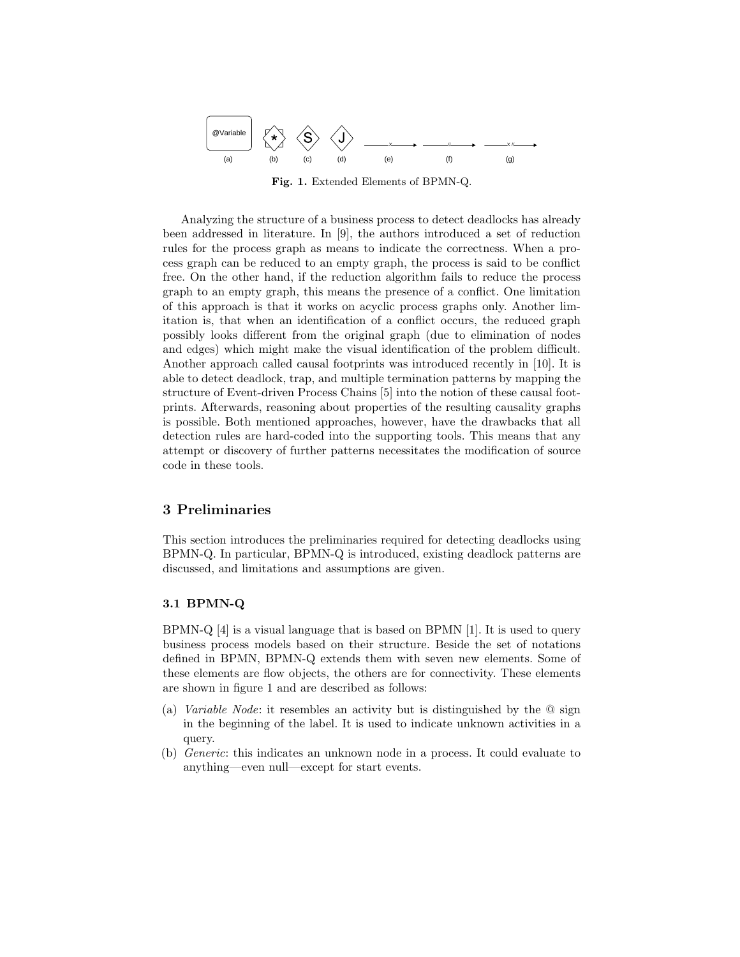

Fig. 1. Extended Elements of BPMN-Q.

Analyzing the structure of a business process to detect deadlocks has already been addressed in literature. In [9], the authors introduced a set of reduction rules for the process graph as means to indicate the correctness. When a process graph can be reduced to an empty graph, the process is said to be conflict free. On the other hand, if the reduction algorithm fails to reduce the process graph to an empty graph, this means the presence of a conflict. One limitation of this approach is that it works on acyclic process graphs only. Another limitation is, that when an identification of a conflict occurs, the reduced graph possibly looks different from the original graph (due to elimination of nodes and edges) which might make the visual identification of the problem difficult. Another approach called causal footprints was introduced recently in [10]. It is able to detect deadlock, trap, and multiple termination patterns by mapping the structure of Event-driven Process Chains [5] into the notion of these causal footprints. Afterwards, reasoning about properties of the resulting causality graphs is possible. Both mentioned approaches, however, have the drawbacks that all detection rules are hard-coded into the supporting tools. This means that any attempt or discovery of further patterns necessitates the modification of source code in these tools.

# 3 Preliminaries

This section introduces the preliminaries required for detecting deadlocks using BPMN-Q. In particular, BPMN-Q is introduced, existing deadlock patterns are discussed, and limitations and assumptions are given.

# 3.1 BPMN-Q

BPMN-Q [4] is a visual language that is based on BPMN [1]. It is used to query business process models based on their structure. Beside the set of notations defined in BPMN, BPMN-Q extends them with seven new elements. Some of these elements are flow objects, the others are for connectivity. These elements are shown in figure 1 and are described as follows:

- (a) Variable Node: it resembles an activity but is distinguished by the @ sign in the beginning of the label. It is used to indicate unknown activities in a query.
- (b) Generic: this indicates an unknown node in a process. It could evaluate to anything—even null—except for start events.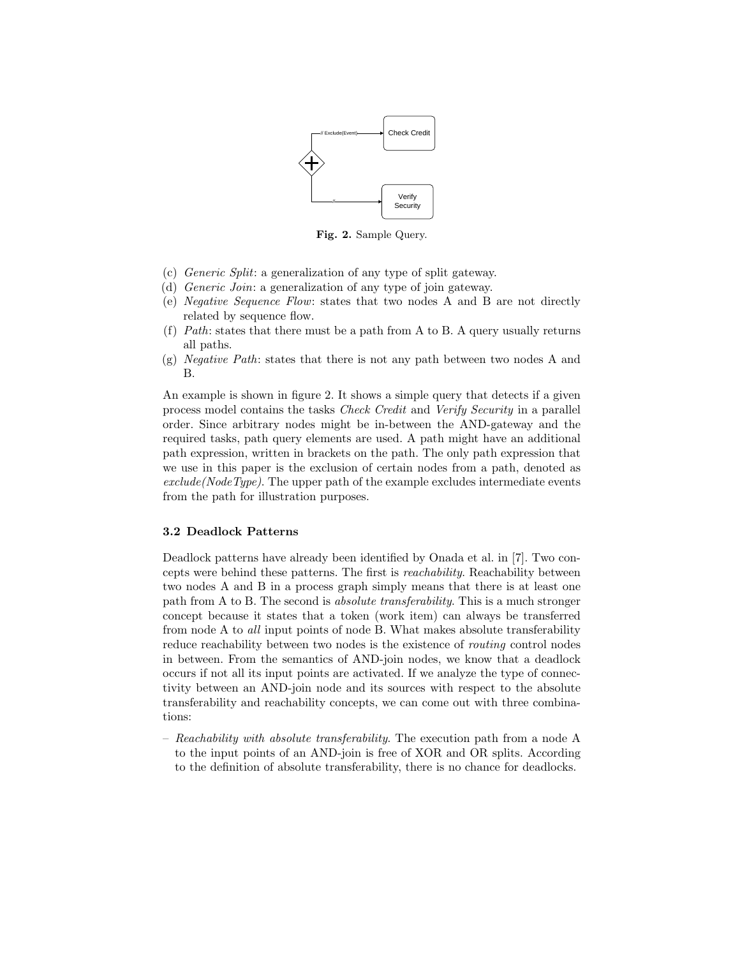

Fig. 2. Sample Query.

- (c) Generic Split: a generalization of any type of split gateway.
- (d) Generic Join: a generalization of any type of join gateway.
- (e) Negative Sequence Flow: states that two nodes A and B are not directly related by sequence flow.
- (f) Path: states that there must be a path from A to B. A query usually returns all paths.
- (g) Negative Path: states that there is not any path between two nodes A and B.

An example is shown in figure 2. It shows a simple query that detects if a given process model contains the tasks Check Credit and Verify Security in a parallel order. Since arbitrary nodes might be in-between the AND-gateway and the required tasks, path query elements are used. A path might have an additional path expression, written in brackets on the path. The only path expression that we use in this paper is the exclusion of certain nodes from a path, denoted as  $\ell$  exclude(NodeType). The upper path of the example excludes intermediate events from the path for illustration purposes.

### 3.2 Deadlock Patterns

Deadlock patterns have already been identified by Onada et al. in [7]. Two concepts were behind these patterns. The first is reachability. Reachability between two nodes A and B in a process graph simply means that there is at least one path from A to B. The second is absolute transferability. This is a much stronger concept because it states that a token (work item) can always be transferred from node A to all input points of node B. What makes absolute transferability reduce reachability between two nodes is the existence of routing control nodes in between. From the semantics of AND-join nodes, we know that a deadlock occurs if not all its input points are activated. If we analyze the type of connectivity between an AND-join node and its sources with respect to the absolute transferability and reachability concepts, we can come out with three combinations:

– Reachability with absolute transferability. The execution path from a node A to the input points of an AND-join is free of XOR and OR splits. According to the definition of absolute transferability, there is no chance for deadlocks.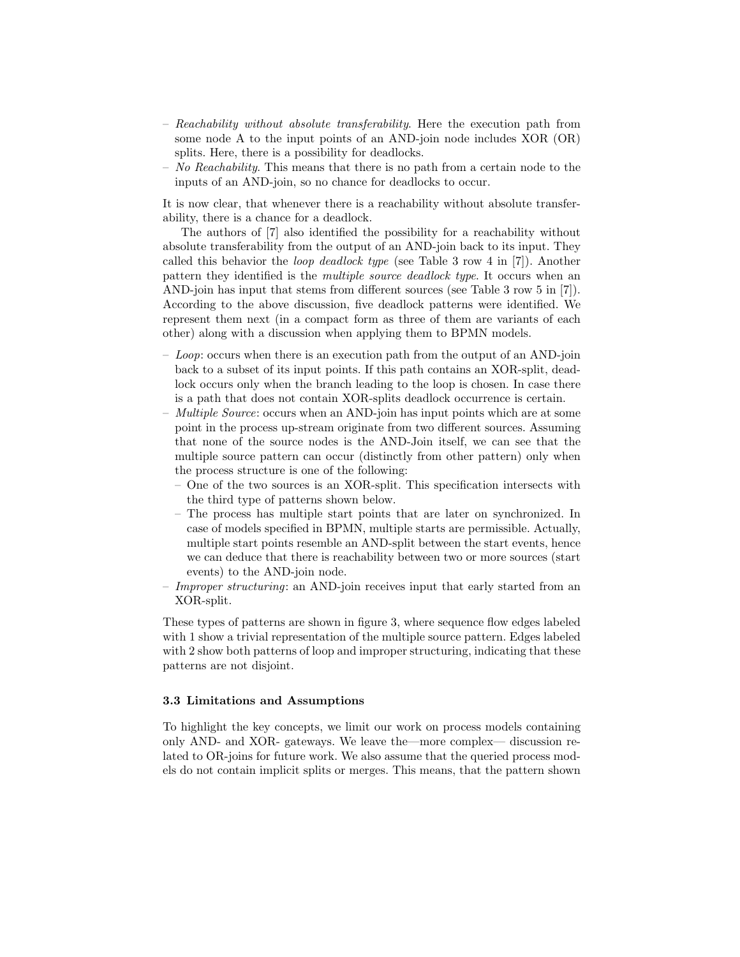- Reachability without absolute transferability. Here the execution path from some node A to the input points of an AND-join node includes XOR (OR) splits. Here, there is a possibility for deadlocks.
- $-$  No Reachability. This means that there is no path from a certain node to the inputs of an AND-join, so no chance for deadlocks to occur.

It is now clear, that whenever there is a reachability without absolute transferability, there is a chance for a deadlock.

The authors of [7] also identified the possibility for a reachability without absolute transferability from the output of an AND-join back to its input. They called this behavior the *loop deadlock type* (see Table 3 row 4 in [7]). Another pattern they identified is the multiple source deadlock type. It occurs when an AND-join has input that stems from different sources (see Table 3 row 5 in [7]). According to the above discussion, five deadlock patterns were identified. We represent them next (in a compact form as three of them are variants of each other) along with a discussion when applying them to BPMN models.

- $-$  Loop: occurs when there is an execution path from the output of an AND-join back to a subset of its input points. If this path contains an XOR-split, deadlock occurs only when the branch leading to the loop is chosen. In case there is a path that does not contain XOR-splits deadlock occurrence is certain.
- Multiple Source: occurs when an AND-join has input points which are at some point in the process up-stream originate from two different sources. Assuming that none of the source nodes is the AND-Join itself, we can see that the multiple source pattern can occur (distinctly from other pattern) only when the process structure is one of the following:
	- One of the two sources is an XOR-split. This specification intersects with the third type of patterns shown below.
	- The process has multiple start points that are later on synchronized. In case of models specified in BPMN, multiple starts are permissible. Actually, multiple start points resemble an AND-split between the start events, hence we can deduce that there is reachability between two or more sources (start events) to the AND-join node.
- Improper structuring: an AND-join receives input that early started from an XOR-split.

These types of patterns are shown in figure 3, where sequence flow edges labeled with 1 show a trivial representation of the multiple source pattern. Edges labeled with 2 show both patterns of loop and improper structuring, indicating that these patterns are not disjoint.

### 3.3 Limitations and Assumptions

To highlight the key concepts, we limit our work on process models containing only AND- and XOR- gateways. We leave the—more complex— discussion related to OR-joins for future work. We also assume that the queried process models do not contain implicit splits or merges. This means, that the pattern shown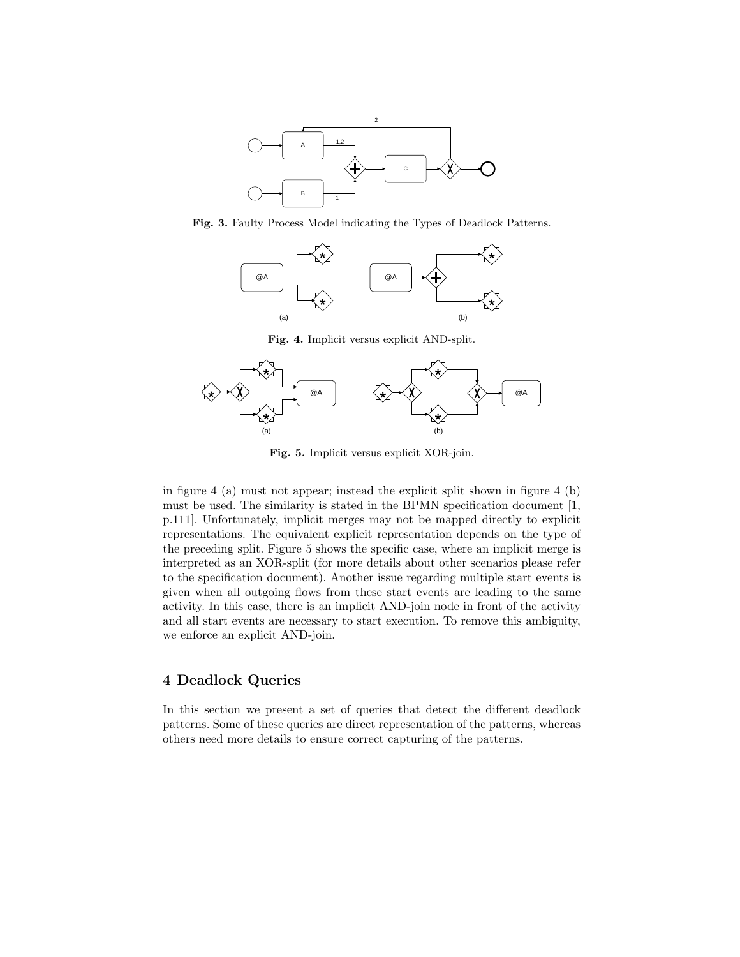

Fig. 3. Faulty Process Model indicating the Types of Deadlock Patterns.



Fig. 4. Implicit versus explicit AND-split.



Fig. 5. Implicit versus explicit XOR-join.

in figure 4 (a) must not appear; instead the explicit split shown in figure 4 (b) must be used. The similarity is stated in the BPMN specification document [1, p.111]. Unfortunately, implicit merges may not be mapped directly to explicit representations. The equivalent explicit representation depends on the type of the preceding split. Figure 5 shows the specific case, where an implicit merge is interpreted as an XOR-split (for more details about other scenarios please refer to the specification document). Another issue regarding multiple start events is given when all outgoing flows from these start events are leading to the same activity. In this case, there is an implicit AND-join node in front of the activity and all start events are necessary to start execution. To remove this ambiguity, we enforce an explicit AND-join.

# 4 Deadlock Queries

In this section we present a set of queries that detect the different deadlock patterns. Some of these queries are direct representation of the patterns, whereas others need more details to ensure correct capturing of the patterns.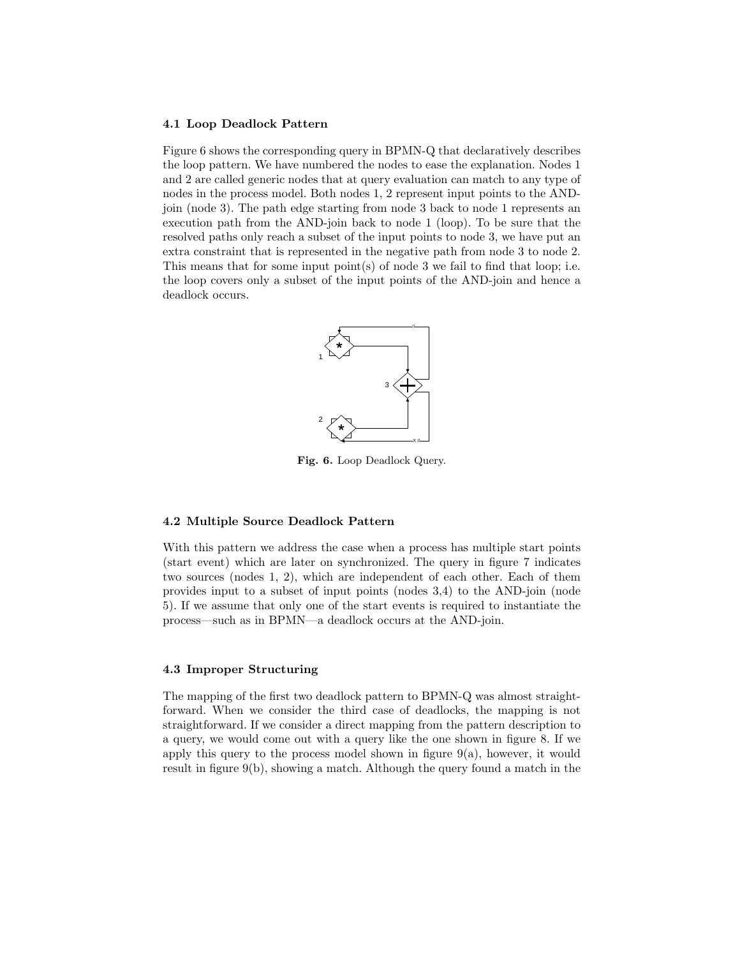### 4.1 Loop Deadlock Pattern

Figure 6 shows the corresponding query in BPMN-Q that declaratively describes the loop pattern. We have numbered the nodes to ease the explanation. Nodes 1 and 2 are called generic nodes that at query evaluation can match to any type of nodes in the process model. Both nodes 1, 2 represent input points to the ANDjoin (node 3). The path edge starting from node 3 back to node 1 represents an execution path from the AND-join back to node 1 (loop). To be sure that the resolved paths only reach a subset of the input points to node 3, we have put an extra constraint that is represented in the negative path from node 3 to node 2. This means that for some input point(s) of node 3 we fail to find that loop; i.e. the loop covers only a subset of the input points of the AND-join and hence a deadlock occurs.



Fig. 6. Loop Deadlock Query.

#### 4.2 Multiple Source Deadlock Pattern

With this pattern we address the case when a process has multiple start points (start event) which are later on synchronized. The query in figure 7 indicates two sources (nodes 1, 2), which are independent of each other. Each of them provides input to a subset of input points (nodes 3,4) to the AND-join (node 5). If we assume that only one of the start events is required to instantiate the process—such as in BPMN—a deadlock occurs at the AND-join.

### 4.3 Improper Structuring

The mapping of the first two deadlock pattern to BPMN-Q was almost straightforward. When we consider the third case of deadlocks, the mapping is not straightforward. If we consider a direct mapping from the pattern description to a query, we would come out with a query like the one shown in figure 8. If we apply this query to the process model shown in figure  $9(a)$ , however, it would result in figure  $9(b)$ , showing a match. Although the query found a match in the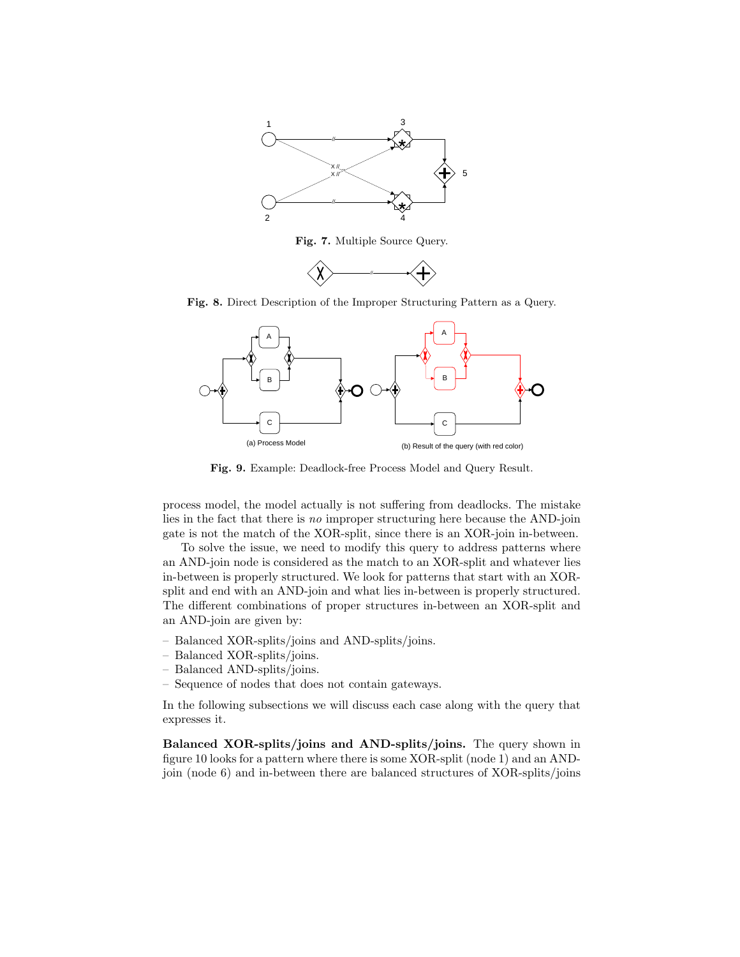

Fig. 7. Multiple Source Query.



Fig. 8. Direct Description of the Improper Structuring Pattern as a Query.



Fig. 9. Example: Deadlock-free Process Model and Query Result.

process model, the model actually is not suffering from deadlocks. The mistake lies in the fact that there is no improper structuring here because the AND-join gate is not the match of the XOR-split, since there is an XOR-join in-between.

To solve the issue, we need to modify this query to address patterns where an AND-join node is considered as the match to an XOR-split and whatever lies in-between is properly structured. We look for patterns that start with an XORsplit and end with an AND-join and what lies in-between is properly structured. The different combinations of proper structures in-between an XOR-split and an AND-join are given by:

- Balanced XOR-splits/joins and AND-splits/joins.
- Balanced XOR-splits/joins.
- Balanced AND-splits/joins.
- Sequence of nodes that does not contain gateways.

In the following subsections we will discuss each case along with the query that expresses it.

Balanced XOR-splits/joins and AND-splits/joins. The query shown in figure 10 looks for a pattern where there is some XOR-split (node 1) and an ANDjoin (node 6) and in-between there are balanced structures of XOR-splits/joins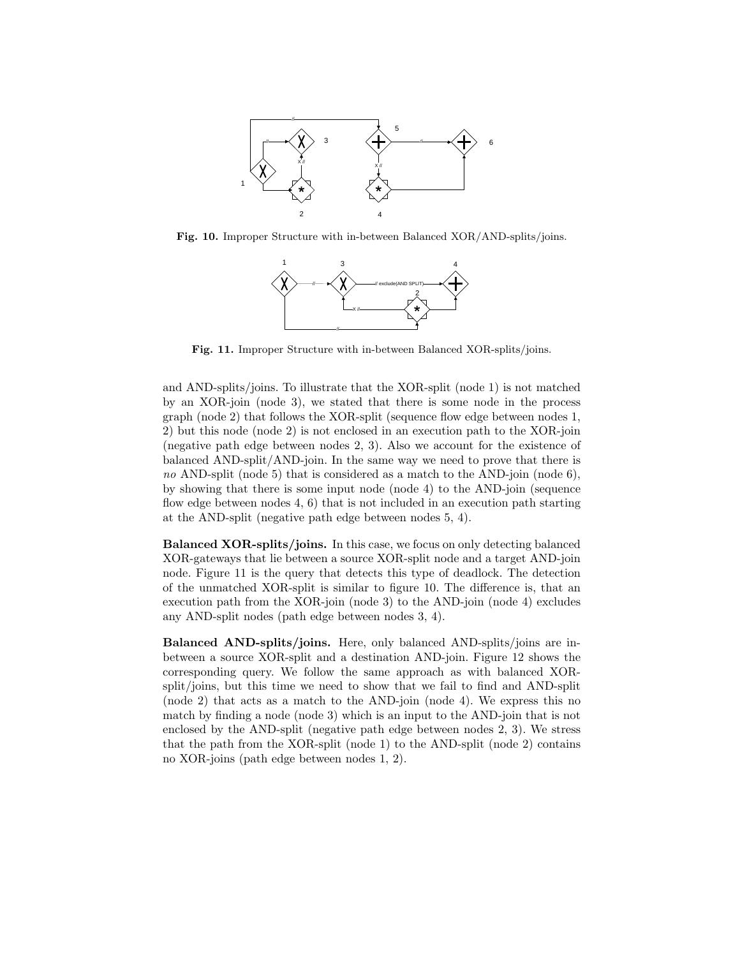

Fig. 10. Improper Structure with in-between Balanced XOR/AND-splits/joins.



Fig. 11. Improper Structure with in-between Balanced XOR-splits/joins.

and AND-splits/joins. To illustrate that the XOR-split (node 1) is not matched by an XOR-join (node 3), we stated that there is some node in the process graph (node 2) that follows the XOR-split (sequence flow edge between nodes 1, 2) but this node (node 2) is not enclosed in an execution path to the XOR-join (negative path edge between nodes 2, 3). Also we account for the existence of balanced AND-split/AND-join. In the same way we need to prove that there is no AND-split (node 5) that is considered as a match to the AND-join (node 6), by showing that there is some input node (node 4) to the AND-join (sequence flow edge between nodes 4, 6) that is not included in an execution path starting at the AND-split (negative path edge between nodes 5, 4).

Balanced XOR-splits/joins. In this case, we focus on only detecting balanced XOR-gateways that lie between a source XOR-split node and a target AND-join node. Figure 11 is the query that detects this type of deadlock. The detection of the unmatched XOR-split is similar to figure 10. The difference is, that an execution path from the XOR-join (node 3) to the AND-join (node 4) excludes any AND-split nodes (path edge between nodes 3, 4).

Balanced AND-splits/joins. Here, only balanced AND-splits/joins are inbetween a source XOR-split and a destination AND-join. Figure 12 shows the corresponding query. We follow the same approach as with balanced XORsplit/joins, but this time we need to show that we fail to find and AND-split (node 2) that acts as a match to the AND-join (node 4). We express this no match by finding a node (node 3) which is an input to the AND-join that is not enclosed by the AND-split (negative path edge between nodes 2, 3). We stress that the path from the XOR-split (node 1) to the AND-split (node 2) contains no XOR-joins (path edge between nodes 1, 2).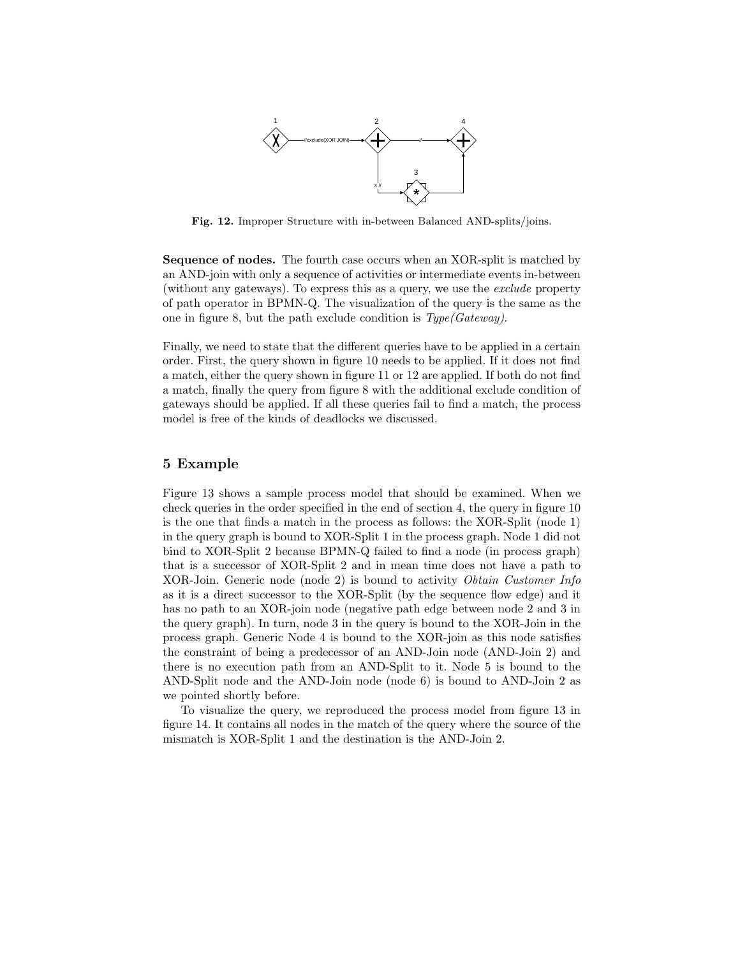

Fig. 12. Improper Structure with in-between Balanced AND-splits/joins.

Sequence of nodes. The fourth case occurs when an XOR-split is matched by an AND-join with only a sequence of activities or intermediate events in-between (without any gateways). To express this as a query, we use the exclude property of path operator in BPMN-Q. The visualization of the query is the same as the one in figure 8, but the path exclude condition is Type(Gateway).

Finally, we need to state that the different queries have to be applied in a certain order. First, the query shown in figure 10 needs to be applied. If it does not find a match, either the query shown in figure 11 or 12 are applied. If both do not find a match, finally the query from figure 8 with the additional exclude condition of gateways should be applied. If all these queries fail to find a match, the process model is free of the kinds of deadlocks we discussed.

# 5 Example

Figure 13 shows a sample process model that should be examined. When we check queries in the order specified in the end of section 4, the query in figure 10 is the one that finds a match in the process as follows: the XOR-Split (node 1) in the query graph is bound to XOR-Split 1 in the process graph. Node 1 did not bind to XOR-Split 2 because BPMN-Q failed to find a node (in process graph) that is a successor of XOR-Split 2 and in mean time does not have a path to XOR-Join. Generic node (node 2) is bound to activity Obtain Customer Info as it is a direct successor to the XOR-Split (by the sequence flow edge) and it has no path to an XOR-join node (negative path edge between node 2 and 3 in the query graph). In turn, node 3 in the query is bound to the XOR-Join in the process graph. Generic Node 4 is bound to the XOR-join as this node satisfies the constraint of being a predecessor of an AND-Join node (AND-Join 2) and there is no execution path from an AND-Split to it. Node 5 is bound to the AND-Split node and the AND-Join node (node 6) is bound to AND-Join 2 as we pointed shortly before.

To visualize the query, we reproduced the process model from figure 13 in figure 14. It contains all nodes in the match of the query where the source of the mismatch is XOR-Split 1 and the destination is the AND-Join 2.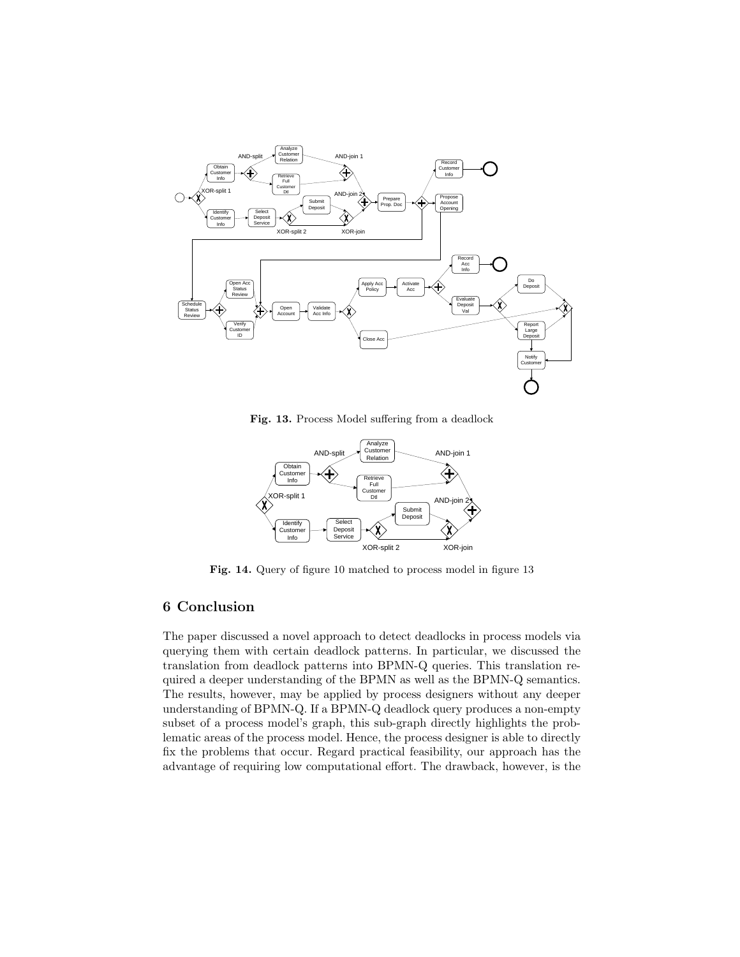

Fig. 13. Process Model suffering from a deadlock



Fig. 14. Query of figure 10 matched to process model in figure 13

# 6 Conclusion

The paper discussed a novel approach to detect deadlocks in process models via querying them with certain deadlock patterns. In particular, we discussed the translation from deadlock patterns into BPMN-Q queries. This translation required a deeper understanding of the BPMN as well as the BPMN-Q semantics. The results, however, may be applied by process designers without any deeper understanding of BPMN-Q. If a BPMN-Q deadlock query produces a non-empty subset of a process model's graph, this sub-graph directly highlights the problematic areas of the process model. Hence, the process designer is able to directly fix the problems that occur. Regard practical feasibility, our approach has the advantage of requiring low computational effort. The drawback, however, is the